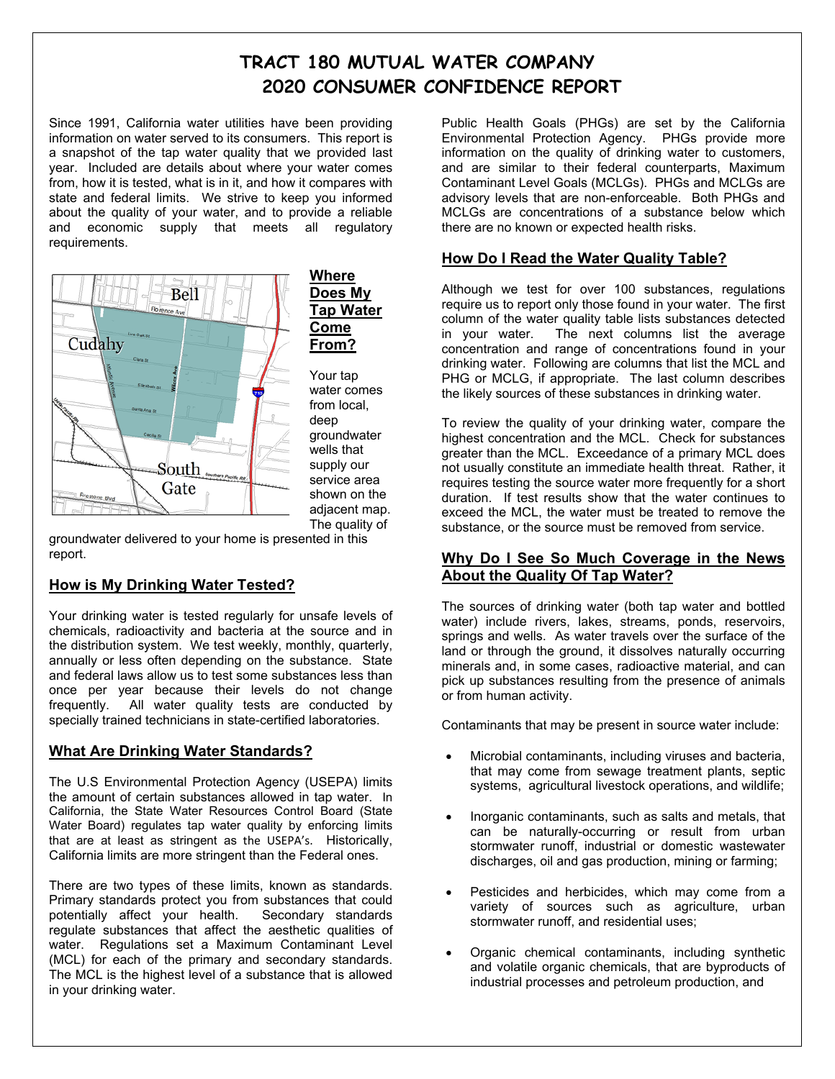# **TRACT 180 MUTUAL WATER COMPANY 2020 CONSUMER CONFIDENCE REPORT**

Since 1991, California water utilities have been providing information on water served to its consumers. This report is a snapshot of the tap water quality that we provided last year. Included are details about where your water comes from, how it is tested, what is in it, and how it compares with state and federal limits. We strive to keep you informed about the quality of your water, and to provide a reliable and economic supply that meets all regulatory requirements.



**Where Does My Tap Water Come From?** 

Your tap water comes from local, deep groundwater wells that supply our service area shown on the adjacent map. The quality of

groundwater delivered to your home is presented in this report.

# **How is My Drinking Water Tested?**

Your drinking water is tested regularly for unsafe levels of chemicals, radioactivity and bacteria at the source and in the distribution system. We test weekly, monthly, quarterly, annually or less often depending on the substance. State and federal laws allow us to test some substances less than once per year because their levels do not change frequently. All water quality tests are conducted by specially trained technicians in state-certified laboratories.

# **What Are Drinking Water Standards?**

The U.S Environmental Protection Agency (USEPA) limits the amount of certain substances allowed in tap water. In California, the State Water Resources Control Board (State Water Board) regulates tap water quality by enforcing limits that are at least as stringent as the USEPA's. Historically, California limits are more stringent than the Federal ones.

There are two types of these limits, known as standards. Primary standards protect you from substances that could potentially affect your health. Secondary standards regulate substances that affect the aesthetic qualities of water. Regulations set a Maximum Contaminant Level (MCL) for each of the primary and secondary standards. The MCL is the highest level of a substance that is allowed in your drinking water.

Public Health Goals (PHGs) are set by the California Environmental Protection Agency. PHGs provide more information on the quality of drinking water to customers, and are similar to their federal counterparts, Maximum Contaminant Level Goals (MCLGs). PHGs and MCLGs are advisory levels that are non-enforceable. Both PHGs and MCLGs are concentrations of a substance below which there are no known or expected health risks.

# **How Do I Read the Water Quality Table?**

Although we test for over 100 substances, regulations require us to report only those found in your water. The first column of the water quality table lists substances detected<br>in your water. The next columns list the average The next columns list the average concentration and range of concentrations found in your drinking water. Following are columns that list the MCL and PHG or MCLG, if appropriate. The last column describes the likely sources of these substances in drinking water.

To review the quality of your drinking water, compare the highest concentration and the MCL. Check for substances greater than the MCL. Exceedance of a primary MCL does not usually constitute an immediate health threat. Rather, it requires testing the source water more frequently for a short duration. If test results show that the water continues to exceed the MCL, the water must be treated to remove the substance, or the source must be removed from service.

# **Why Do I See So Much Coverage in the News About the Quality Of Tap Water?**

The sources of drinking water (both tap water and bottled water) include rivers, lakes, streams, ponds, reservoirs, springs and wells. As water travels over the surface of the land or through the ground, it dissolves naturally occurring minerals and, in some cases, radioactive material, and can pick up substances resulting from the presence of animals or from human activity.

Contaminants that may be present in source water include:

- Microbial contaminants, including viruses and bacteria, that may come from sewage treatment plants, septic systems, agricultural livestock operations, and wildlife;
- Inorganic contaminants, such as salts and metals, that can be naturally-occurring or result from urban stormwater runoff, industrial or domestic wastewater discharges, oil and gas production, mining or farming;
- Pesticides and herbicides, which may come from a variety of sources such as agriculture, urban stormwater runoff, and residential uses;
- Organic chemical contaminants, including synthetic and volatile organic chemicals, that are byproducts of industrial processes and petroleum production, and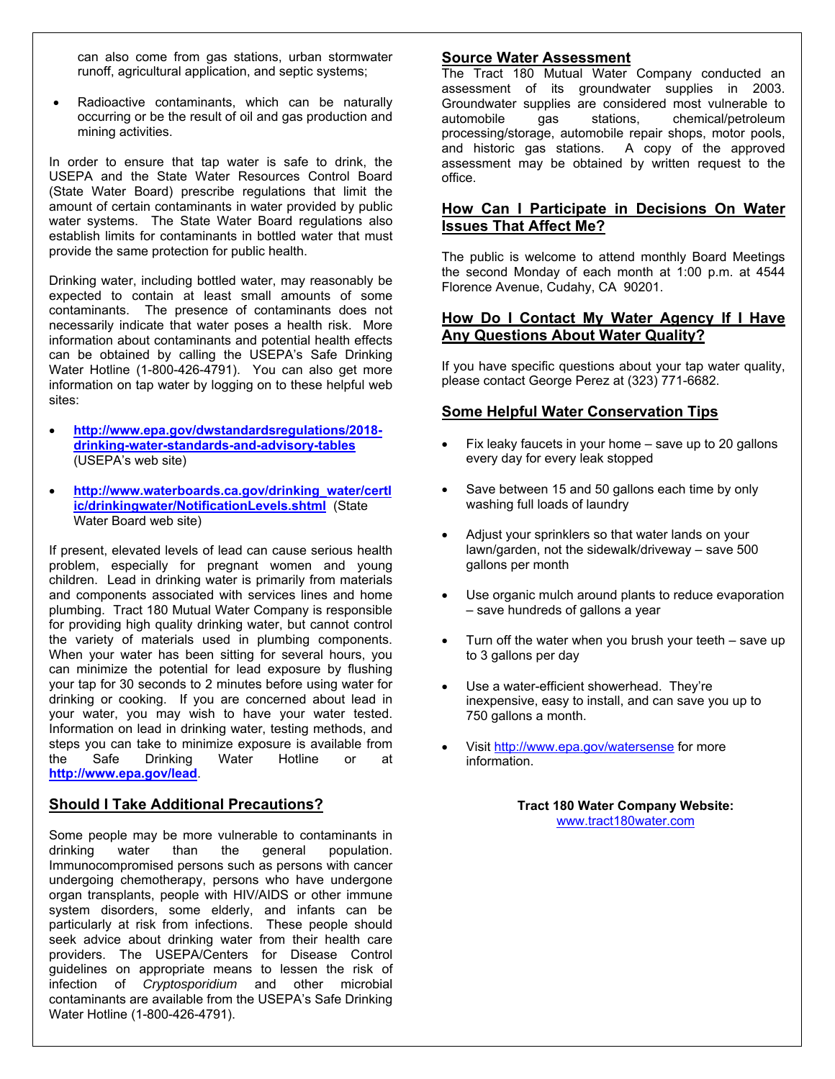can also come from gas stations, urban stormwater runoff, agricultural application, and septic systems;

 Radioactive contaminants, which can be naturally occurring or be the result of oil and gas production and mining activities.

In order to ensure that tap water is safe to drink, the USEPA and the State Water Resources Control Board (State Water Board) prescribe regulations that limit the amount of certain contaminants in water provided by public water systems. The State Water Board regulations also establish limits for contaminants in bottled water that must provide the same protection for public health.

Drinking water, including bottled water, may reasonably be expected to contain at least small amounts of some contaminants. The presence of contaminants does not necessarily indicate that water poses a health risk. More information about contaminants and potential health effects can be obtained by calling the USEPA's Safe Drinking Water Hotline (1-800-426-4791). You can also get more information on tap water by logging on to these helpful web sites:

- **http://www.epa.gov/dwstandardsregulations/2018 drinking-water-standards-and-advisory-tables** (USEPA's web site)
- **http://www.waterboards.ca.gov/drinking\_water/certl ic/drinkingwater/NotificationLevels.shtml** (State Water Board web site)

If present, elevated levels of lead can cause serious health problem, especially for pregnant women and young children. Lead in drinking water is primarily from materials and components associated with services lines and home plumbing. Tract 180 Mutual Water Company is responsible for providing high quality drinking water, but cannot control the variety of materials used in plumbing components. When your water has been sitting for several hours, you can minimize the potential for lead exposure by flushing your tap for 30 seconds to 2 minutes before using water for drinking or cooking. If you are concerned about lead in your water, you may wish to have your water tested. Information on lead in drinking water, testing methods, and steps you can take to minimize exposure is available from the Safe Drinking Water Hotline or at **http://www.epa.gov/lead**.

## **Should I Take Additional Precautions?**

Some people may be more vulnerable to contaminants in drinking water than the general population. Immunocompromised persons such as persons with cancer undergoing chemotherapy, persons who have undergone organ transplants, people with HIV/AIDS or other immune system disorders, some elderly, and infants can be particularly at risk from infections. These people should seek advice about drinking water from their health care providers. The USEPA/Centers for Disease Control guidelines on appropriate means to lessen the risk of infection of *Cryptosporidium* and other microbial contaminants are available from the USEPA's Safe Drinking Water Hotline (1-800-426-4791).

#### **Source Water Assessment**

The Tract 180 Mutual Water Company conducted an assessment of its groundwater supplies in 2003. Groundwater supplies are considered most vulnerable to automobile gas stations, chemical/petroleum processing/storage, automobile repair shops, motor pools, and historic gas stations. A copy of the approved assessment may be obtained by written request to the office.

# **How Can I Participate in Decisions On Water Issues That Affect Me?**

The public is welcome to attend monthly Board Meetings the second Monday of each month at 1:00 p.m. at 4544 Florence Avenue, Cudahy, CA 90201.

## **How Do I Contact My Water Agency If I Have Any Questions About Water Quality?**

If you have specific questions about your tap water quality, please contact George Perez at (323) 771-6682.

# **Some Helpful Water Conservation Tips**

- Fix leaky faucets in your home save up to 20 gallons every day for every leak stopped
- Save between 15 and 50 gallons each time by only washing full loads of laundry
- Adjust your sprinklers so that water lands on your lawn/garden, not the sidewalk/driveway – save 500 gallons per month
- Use organic mulch around plants to reduce evaporation – save hundreds of gallons a year
- Turn off the water when you brush your teeth save up to 3 gallons per day
- Use a water-efficient showerhead. They're inexpensive, easy to install, and can save you up to 750 gallons a month.
- Visit http://www.epa.gov/watersense for more information.

**Tract 180 Water Company Website:**  www.tract180water.com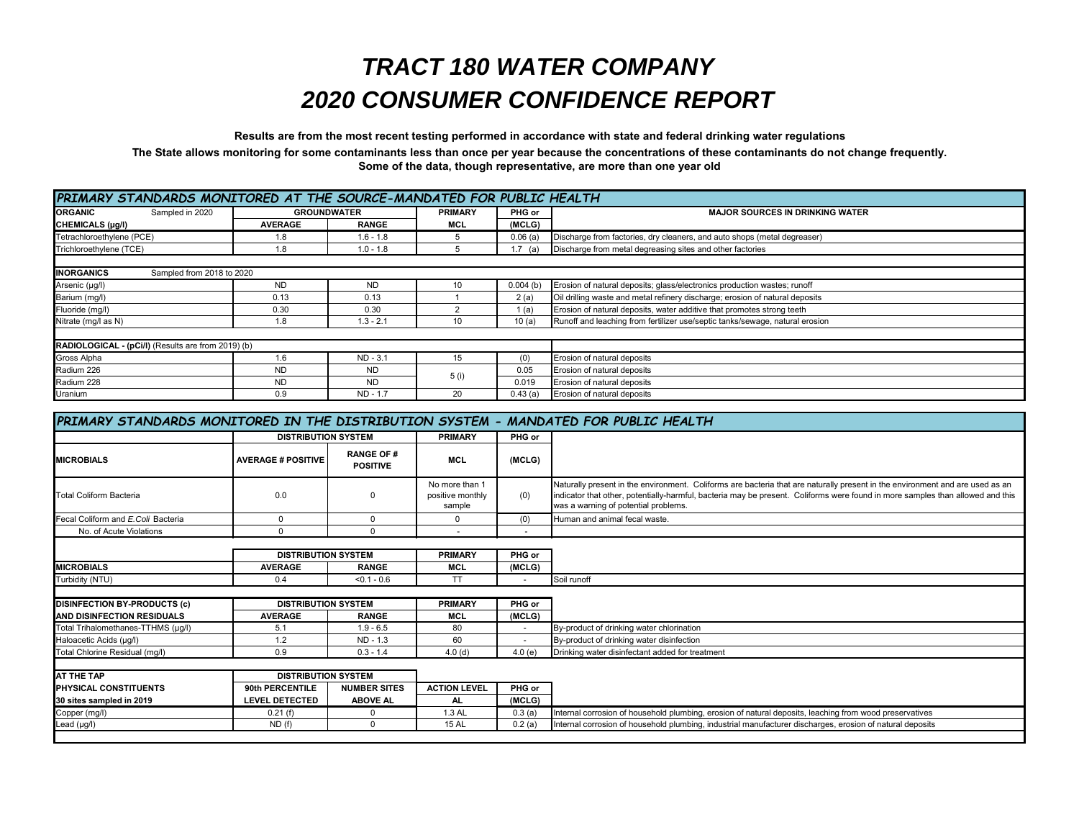# *TRACT 180 WATER COMPANY 2020 CONSUMER CONFIDENCE REPORT*

**Results are from the most recent testing performed in accordance with state and federal drinking water regulations**

**The State allows monitoring for some contaminants less than once per year because the concentrations of these contaminants do not change frequently. Some of the data, though representative, are more than one year old**

| PRIMARY STANDARDS MONITORED AT THE SOURCE-MANDATED FOR PUBLIC HEALTH |                |                    |                |             |                                                                              |
|----------------------------------------------------------------------|----------------|--------------------|----------------|-------------|------------------------------------------------------------------------------|
| Sampled in 2020<br><b>ORGANIC</b>                                    |                | <b>GROUNDWATER</b> | <b>PRIMARY</b> | PHG or      | <b>MAJOR SOURCES IN DRINKING WATER</b>                                       |
| CHEMICALS (µg/l)                                                     | <b>AVERAGE</b> | <b>RANGE</b>       | <b>MCL</b>     | (MCLG)      |                                                                              |
| Tetrachloroethylene (PCE)                                            | 1.8            | $1.6 - 1.8$        |                | 0.06(a)     | Discharge from factories, dry cleaners, and auto shops (metal degreaser)     |
| Trichloroethylene (TCE)                                              | 1.8            | $1.0 - 1.8$        |                | 1.7 (a)     | Discharge from metal degreasing sites and other factories                    |
|                                                                      |                |                    |                |             |                                                                              |
| <b>INORGANICS</b><br>Sampled from 2018 to 2020                       |                |                    |                |             |                                                                              |
| Arsenic (µg/l)                                                       | <b>ND</b>      | <b>ND</b>          | 10             | $0.004$ (b) | Erosion of natural deposits; glass/electronics production wastes; runoff     |
| Barium (mg/l)                                                        | 0.13           | 0.13               |                | 2(a)        | Oil drilling waste and metal refinery discharge; erosion of natural deposits |
| Fluoride (mg/l)                                                      | 0.30           | 0.30               |                | 1(a)        | Erosion of natural deposits, water additive that promotes strong teeth       |
| Nitrate (mg/l as N)                                                  | 1.8            | $1.3 - 2.1$        | 10             | 10(a)       | Runoff and leaching from fertilizer use/septic tanks/sewage, natural erosion |
|                                                                      |                |                    |                |             |                                                                              |
| RADIOLOGICAL - (pCi/I) (Results are from 2019) (b)                   |                |                    |                |             |                                                                              |
| Gross Alpha                                                          | 1.6            | $ND - 3.1$         | 15             | (0)         | Erosion of natural deposits                                                  |
| Radium 226                                                           | <b>ND</b>      | <b>ND</b>          |                | 0.05        | Erosion of natural deposits                                                  |
| Radium 228                                                           | <b>ND</b>      | <b>ND</b>          | 5 (i)          | 0.019       | Erosion of natural deposits                                                  |
| Uranium                                                              | 0.9            | $ND - 1.7$         | 20             | 0.43(a)     | Erosion of natural deposits                                                  |

|                                     |                            |                                      |                                              |                          | PRIMARY STANDARDS MONITORED IN THE DISTRIBUTION SYSTEM - MANDATED FOR PUBLIC HEALTH                                                                                                                                                                                                                     |
|-------------------------------------|----------------------------|--------------------------------------|----------------------------------------------|--------------------------|---------------------------------------------------------------------------------------------------------------------------------------------------------------------------------------------------------------------------------------------------------------------------------------------------------|
|                                     | <b>DISTRIBUTION SYSTEM</b> |                                      | <b>PRIMARY</b>                               | PHG or                   |                                                                                                                                                                                                                                                                                                         |
| <b>MICROBIALS</b>                   | <b>AVERAGE # POSITIVE</b>  | <b>RANGE OF #</b><br><b>POSITIVE</b> | <b>MCL</b>                                   | (MCLG)                   |                                                                                                                                                                                                                                                                                                         |
| <b>Total Coliform Bacteria</b>      | 0.0                        | $\Omega$                             | No more than 1<br>positive monthly<br>sample | (0)                      | Naturally present in the environment. Coliforms are bacteria that are naturally present in the environment and are used as an<br>indicator that other, potentially-harmful, bacteria may be present. Coliforms were found in more samples than allowed and this<br>was a warning of potential problems. |
| Fecal Coliform and E.Coli Bacteria  | $\mathbf 0$                | $\mathbf 0$                          | $\mathbf{0}$                                 | (0)                      | Human and animal fecal waste.                                                                                                                                                                                                                                                                           |
| No. of Acute Violations             | $\Omega$                   | $\Omega$                             |                                              |                          |                                                                                                                                                                                                                                                                                                         |
|                                     |                            |                                      |                                              |                          |                                                                                                                                                                                                                                                                                                         |
|                                     | <b>DISTRIBUTION SYSTEM</b> |                                      | <b>PRIMARY</b>                               | PHG or                   |                                                                                                                                                                                                                                                                                                         |
| <b>MICROBIALS</b>                   | <b>AVERAGE</b>             | <b>RANGE</b>                         | <b>MCL</b>                                   | (MCLG)                   |                                                                                                                                                                                                                                                                                                         |
| Turbidity (NTU)                     | 0.4                        | $< 0.1 - 0.6$                        | TT                                           | ٠                        | Soil runoff                                                                                                                                                                                                                                                                                             |
| <b>DISINFECTION BY-PRODUCTS (c)</b> | <b>DISTRIBUTION SYSTEM</b> |                                      | <b>PRIMARY</b>                               | PHG or                   |                                                                                                                                                                                                                                                                                                         |
| AND DISINFECTION RESIDUALS          | <b>AVERAGE</b>             | <b>RANGE</b>                         | <b>MCL</b>                                   | (MCLG)                   |                                                                                                                                                                                                                                                                                                         |
| Total Trihalomethanes-TTHMS (µq/l)  | 5.1                        | $1.9 - 6.5$                          | 80                                           | $\overline{\phantom{a}}$ | By-product of drinking water chlorination                                                                                                                                                                                                                                                               |
| Haloacetic Acids (µq/l)             | 1.2                        | $ND - 1.3$                           | 60                                           | $\overline{\phantom{a}}$ | By-product of drinking water disinfection                                                                                                                                                                                                                                                               |
| Total Chlorine Residual (mg/l)      | 0.9                        | $0.3 - 1.4$                          | 4.0(d)                                       | 4.0(e)                   | Drinking water disinfectant added for treatment                                                                                                                                                                                                                                                         |
|                                     |                            |                                      |                                              |                          |                                                                                                                                                                                                                                                                                                         |
| <b>AT THE TAP</b>                   | <b>DISTRIBUTION SYSTEM</b> |                                      |                                              |                          |                                                                                                                                                                                                                                                                                                         |
| <b>PHYSICAL CONSTITUENTS</b>        | 90th PERCENTILE            | <b>NUMBER SITES</b>                  | <b>ACTION LEVEL</b>                          | PHG or                   |                                                                                                                                                                                                                                                                                                         |
| 30 sites sampled in 2019            | <b>LEVEL DETECTED</b>      | <b>ABOVE AL</b>                      | AL.                                          | (MCLG)                   |                                                                                                                                                                                                                                                                                                         |
| Copper (mg/l)                       | 0.21(f)                    |                                      | 1.3 AL                                       | 0.3(a)                   | Internal corrosion of household plumbing, erosion of natural deposits, leaching from wood preservatives                                                                                                                                                                                                 |
| Lead (µg/l)                         | ND(f)                      | $\Omega$                             | <b>15 AL</b>                                 | 0.2(a)                   | Internal corrosion of household plumbing, industrial manufacturer discharges, erosion of natural deposits                                                                                                                                                                                               |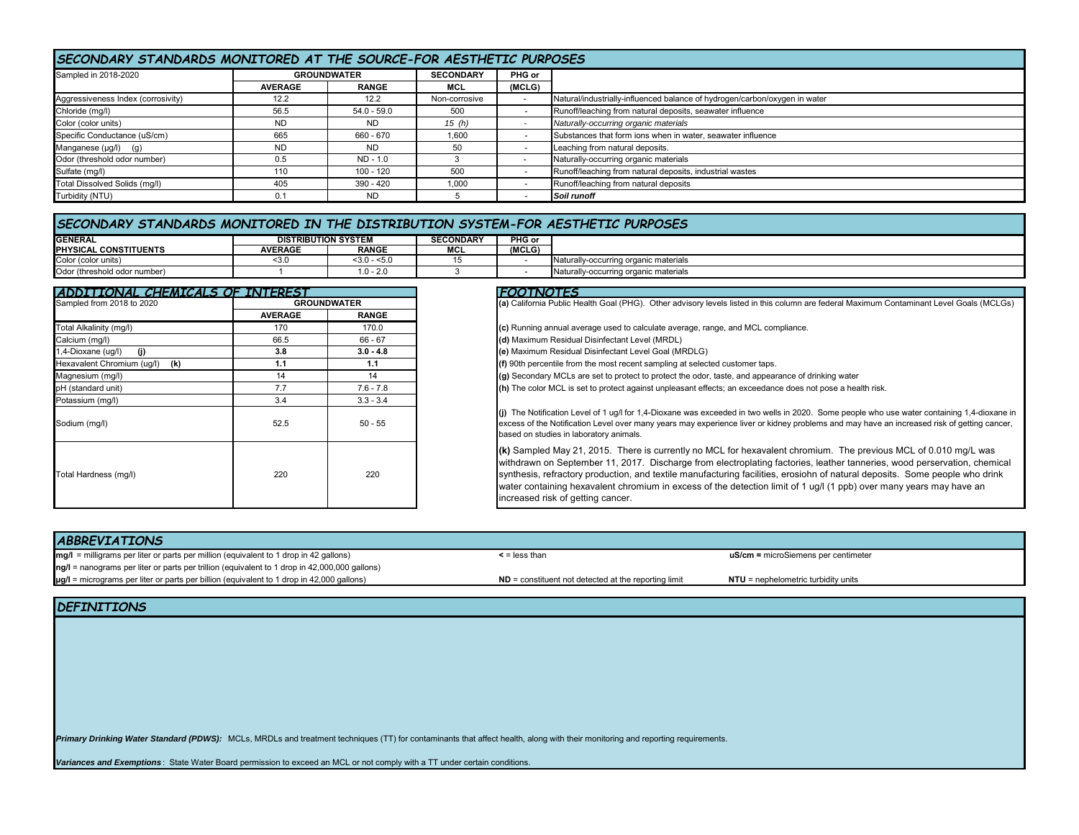## *SECONDARY STANDARDS MONITORED AT THE SOURCE-FOR AESTHETIC PURPOSES*

| Sampled in 2018-2020               | <b>GROUNDWATER</b> |               | <b>SECONDARY</b> | PHG or |                                                                            |  |  |
|------------------------------------|--------------------|---------------|------------------|--------|----------------------------------------------------------------------------|--|--|
|                                    | <b>AVERAGE</b>     | <b>RANGE</b>  | MCL              | (MCLG) |                                                                            |  |  |
| Aggressiveness Index (corrosivity) | 12.2               | 12.2          | Non-corrosive    |        | Natural/industrially-influenced balance of hydrogen/carbon/oxygen in water |  |  |
| Chloride (mg/l)                    | 56.5               | $54.0 - 59.0$ | 500              |        | Runoff/leaching from natural deposits, seawater influence                  |  |  |
| Color (color units)                | ND                 | <b>ND</b>     | 15 (h)           |        | Naturally-occurring organic materials                                      |  |  |
| Specific Conductance (uS/cm)       | 665                | 660 - 670     | 1.600            |        | Substances that form ions when in water, seawater influence                |  |  |
| Manganese $(\mu g/l)$ (g)          | ND                 | <b>ND</b>     | 50               |        | Leaching from natural deposits.                                            |  |  |
| Odor (threshold odor number)       | 0.5                | ND - 1.0      |                  |        | Naturally-occurring organic materials                                      |  |  |
| Sulfate (mg/l)                     | 110                | $100 - 120$   | 500              |        | Runoff/leaching from natural deposits, industrial wastes                   |  |  |
| Total Dissolved Solids (mg/l)      | 405                | 390 - 420     | 1.000            |        | Runoff/leaching from natural deposits                                      |  |  |
| Turbidity (NTU)                    |                    | <b>ND</b>     |                  |        | Soil runoff                                                                |  |  |

#### *SECONDARY STANDARDS MONITORED IN THE DISTRIBUTION SYSTEM-FOR AESTHETIC PURPOSES*

| <b>GENERAL</b>                          | <b>DISTRIBUTION SYSTEM</b> |                    | <b>SECONDARY</b>   | PHG or |                                             |
|-----------------------------------------|----------------------------|--------------------|--------------------|--------|---------------------------------------------|
| <b>IPHYSICAL</b><br><b>CONSTITUENTS</b> | <b>AVERAGE</b>             | <b>RANGE</b>       | <b>BROL</b><br>MUL | (MCLG) |                                             |
| Color (color units)                     | 53 I.                      | ∴.5> - ''<br>≤3.0∴ |                    |        | ally-occurring organic materials            |
| Odor (threshold odor number)            |                            | $\sim$<br>. . U –  |                    |        | Natural<br>allv-occurring organic materials |

| ZDDI TI ONAL CHEMICALS OF INITEREST |                |                    | <b>FOOTNOTES</b>                                                                                                                                                                                                                                                                                                                                         |
|-------------------------------------|----------------|--------------------|----------------------------------------------------------------------------------------------------------------------------------------------------------------------------------------------------------------------------------------------------------------------------------------------------------------------------------------------------------|
| Sampled from 2018 to 2020           |                | <b>GROUNDWATER</b> | (a) California Public Health Goal (PHG). Other advisory levels listed in this column a                                                                                                                                                                                                                                                                   |
|                                     | <b>AVERAGE</b> | <b>RANGE</b>       |                                                                                                                                                                                                                                                                                                                                                          |
| Total Alkalinity (mg/l)             | 170            | 170.0              | (c) Running annual average used to calculate average, range, and MCL compliance                                                                                                                                                                                                                                                                          |
| Calcium (mg/l)                      | 66.5           | $66 - 67$          | (d) Maximum Residual Disinfectant Level (MRDL)                                                                                                                                                                                                                                                                                                           |
| 1,4-Dioxane (ug/l)<br>(i)           | 3.8            | $3.0 - 4.8$        | (e) Maximum Residual Disinfectant Level Goal (MRDLG)                                                                                                                                                                                                                                                                                                     |
| Hexavalent Chromium (ug/l)<br>(k)   | 1.1            | 1.1                | (f) 90th percentile from the most recent sampling at selected customer taps.                                                                                                                                                                                                                                                                             |
| Magnesium (mg/l)                    | 14             | 14                 | (g) Secondary MCLs are set to protect to protect the odor, taste, and appearance of                                                                                                                                                                                                                                                                      |
| pH (standard unit)                  | 7.7            | $7.6 - 7.8$        | (h) The color MCL is set to protect against unpleasant effects; an exceedance does                                                                                                                                                                                                                                                                       |
| Potassium (mg/l)                    | 3.4            | $3.3 - 3.4$        |                                                                                                                                                                                                                                                                                                                                                          |
| Sodium (mg/l)                       | 52.5           | $50 - 55$          | (j) The Notification Level of 1 ug/l for 1,4-Dioxane was exceeded in two wells in 2020<br>excess of the Notification Level over many years may experience liver or kidney pro<br>based on studies in laboratory animals.                                                                                                                                 |
| Total Hardness (mg/l)               | 220            | 220                | (k) Sampled May 21, 2015. There is currently no MCL for hexavalent chro<br>withdrawn on September 11, 2017. Discharge from electroplating factories<br>synthesis, refractory production, and textile manufacturing facilities, erosio<br>water containing hexavalent chromium in excess of the detection limit of 1<br>increased risk of getting cancer. |

| ADDITIONAL CHEMICALS OF INTEREST                |                |              | <b>FOOTNOTES</b>                                                                                                                                                                                                                                                                                                                                                                                                                                                                                                                       |
|-------------------------------------------------|----------------|--------------|----------------------------------------------------------------------------------------------------------------------------------------------------------------------------------------------------------------------------------------------------------------------------------------------------------------------------------------------------------------------------------------------------------------------------------------------------------------------------------------------------------------------------------------|
| Sampled from 2018 to 2020<br><b>GROUNDWATER</b> |                |              | (a) California Public Health Goal (PHG). Other advisory levels listed in this column are federal Maximum Contaminant Level Goals (MCLGs)                                                                                                                                                                                                                                                                                                                                                                                               |
|                                                 | <b>AVERAGE</b> | <b>RANGE</b> |                                                                                                                                                                                                                                                                                                                                                                                                                                                                                                                                        |
| Total Alkalinity (mg/l)                         | 170            | 170.0        | (c) Running annual average used to calculate average, range, and MCL compliance.                                                                                                                                                                                                                                                                                                                                                                                                                                                       |
| Calcium (mg/l)                                  | 66.5           | $66 - 67$    | (d) Maximum Residual Disinfectant Level (MRDL)                                                                                                                                                                                                                                                                                                                                                                                                                                                                                         |
| 1,4-Dioxane (uq/l)<br>(i)                       | 3.8            | $3.0 - 4.8$  | (e) Maximum Residual Disinfectant Level Goal (MRDLG)                                                                                                                                                                                                                                                                                                                                                                                                                                                                                   |
| Hexavalent Chromium (uq/l) (k)                  | 1.1            | 1.1          | (f) 90th percentile from the most recent sampling at selected customer taps.                                                                                                                                                                                                                                                                                                                                                                                                                                                           |
| Magnesium (mg/l)                                | 14             | 14           | (g) Secondary MCLs are set to protect to protect the odor, taste, and appearance of drinking water                                                                                                                                                                                                                                                                                                                                                                                                                                     |
| pH (standard unit)                              | 7.7            | $7.6 - 7.8$  | (h) The color MCL is set to protect against unpleasant effects; an exceedance does not pose a health risk.                                                                                                                                                                                                                                                                                                                                                                                                                             |
| Potassium (mg/l)                                | 3.4            | $3.3 - 3.4$  |                                                                                                                                                                                                                                                                                                                                                                                                                                                                                                                                        |
| Sodium (mg/l)                                   | 52.5           | $50 - 55$    | (j) The Notification Level of 1 ug/l for 1,4-Dioxane was exceeded in two wells in 2020. Some people who use water containing 1,4-dioxane in<br>excess of the Notification Level over many years may experience liver or kidney problems and may have an increased risk of getting cancer,<br>based on studies in laboratory animals.                                                                                                                                                                                                   |
| Total Hardness (mg/l)                           | 220            | 220          | (k) Sampled May 21, 2015. There is currently no MCL for hexavalent chromium. The previous MCL of 0.010 mg/L was<br>withdrawn on September 11, 2017. Discharge from electroplating factories, leather tanneries, wood perservation, chemical<br>synthesis, refractory production, and textile manufacturing facilities, erosiohn of natural deposits. Some people who drink<br>water containing hexavalent chromium in excess of the detection limit of 1 ug/l (1 ppb) over many years may have an<br>increased risk of getting cancer. |

| <b>uS/cm</b> = microSiemens per centimeter                                                      |
|-------------------------------------------------------------------------------------------------|
|                                                                                                 |
| $ND =$ constituent not detected at the reporting limit<br>$NTU$ = nephelometric turbidity units |
|                                                                                                 |

#### *DEFINITIONS*

Primary Drinking Water Standard (PDWS): MCLs, MRDLs and treatment techniques (TT) for contaminants that affect health, along with their monitoring and reporting requirements.

*Variances and Exemptions* : State Water Board permission to exceed an MCL or not comply with a TT under certain conditions.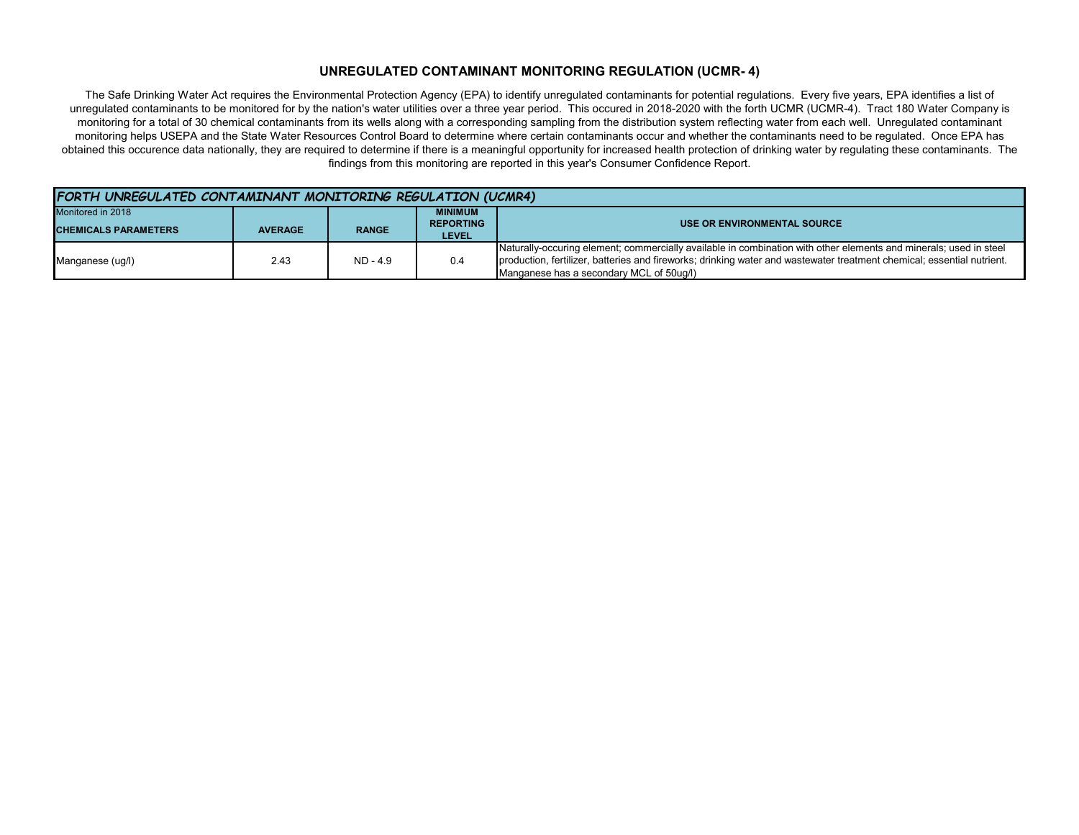#### **UNREGULATED CONTAMINANT MONITORING REGULATION (UCMR- 4)**

The Safe Drinking Water Act requires the Environmental Protection Agency (EPA) to identify unregulated contaminants for potential regulations. Every five years, EPA identifies a list of unregulated contaminants to be monitored for by the nation's water utilities over a three year period. This occured in 2018-2020 with the forth UCMR (UCMR-4). Tract 180 Water Company is monitoring for a total of 30 chemical contaminants from its wells along with a corresponding sampling from the distribution system reflecting water from each well. Unregulated contaminant monitoring helps USEPA and the State Water Resources Control Board to determine where certain contaminants occur and whether the contaminants need to be regulated. Once EPA has obtained this occurence data nationally, they are required to determine if there is a meaningful opportunity for increased health protection of drinking water by regulating these contaminants. The findings from this monitoring are reported in this year's Consumer Confidence Report.

| FORTH UNREGULATED CONTAMINANT MONITORING REGULATION (UCMR4) |                |              |                  |                                                                                                                        |  |
|-------------------------------------------------------------|----------------|--------------|------------------|------------------------------------------------------------------------------------------------------------------------|--|
| Monitored in 2018                                           |                |              | <b>MINIMUM</b>   |                                                                                                                        |  |
| <b>CHEMICALS PARAMETERS</b>                                 | <b>AVERAGE</b> | <b>RANGE</b> | <b>REPORTING</b> | USE OR ENVIRONMENTAL SOURCE                                                                                            |  |
|                                                             |                |              | <b>LEVEL</b>     |                                                                                                                        |  |
|                                                             | 2.43           | $ND - 4.9$   | 0.4              | Naturally-occuring element; commercially available in combination with other elements and minerals; used in steel      |  |
| Manganese (ug/l)                                            |                |              |                  | production, fertilizer, batteries and fireworks; drinking water and wastewater treatment chemical; essential nutrient. |  |
|                                                             |                |              |                  | Manganese has a secondary MCL of 50ug/l)                                                                               |  |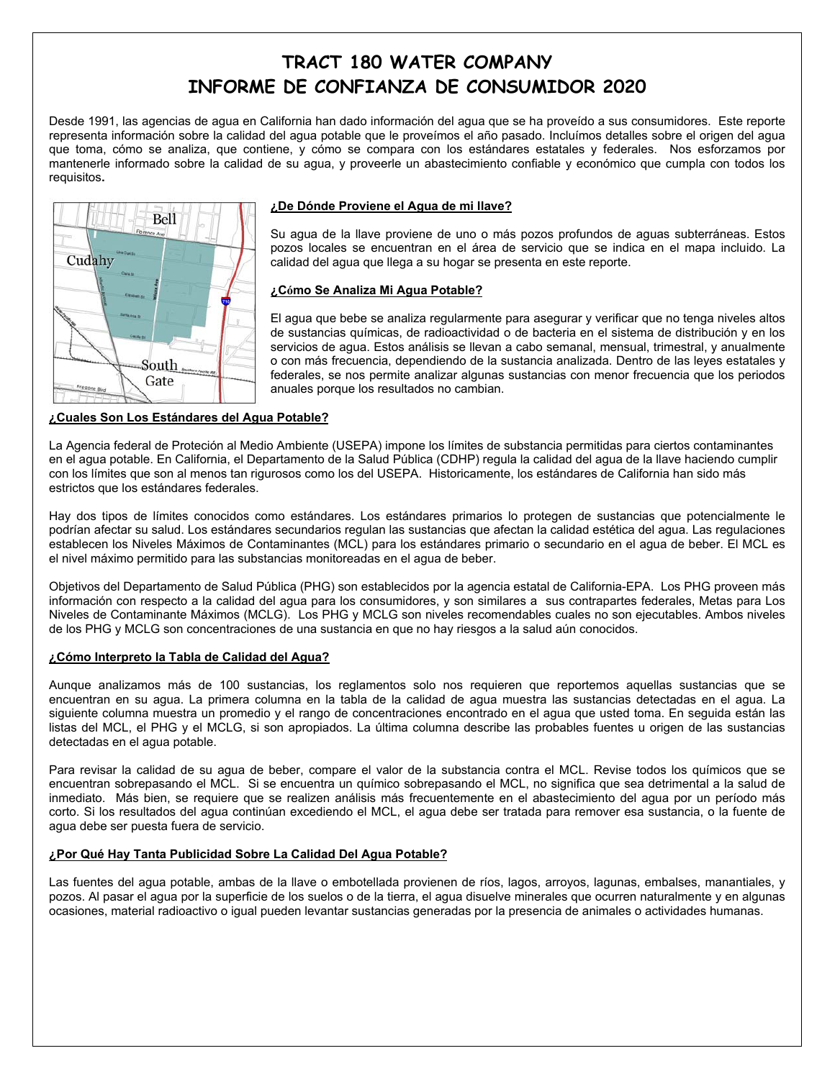# **TRACT 180 WATER COMPANY INFORME DE CONFIANZA DE CONSUMIDOR 2020**

Desde 1991, las agencias de agua en California han dado información del agua que se ha proveído a sus consumidores. Este reporte representa información sobre la calidad del agua potable que le proveímos el año pasado. Incluímos detalles sobre el origen del agua que toma, cómo se analiza, que contiene, y cómo se compara con los estándares estatales y federales. Nos esforzamos por mantenerle informado sobre la calidad de su agua, y proveerle un abastecimiento confiable y económico que cumpla con todos los requisitos**.** 



## **¿De Dónde Proviene el Agua de mi llave?**

Su agua de la llave proviene de uno o más pozos profundos de aguas subterráneas. Estos pozos locales se encuentran en el área de servicio que se indica en el mapa incluido. La calidad del agua que llega a su hogar se presenta en este reporte.

#### **¿Cómo Se Analiza Mi Agua Potable?**

El agua que bebe se analiza regularmente para asegurar y verificar que no tenga niveles altos de sustancias químicas, de radioactividad o de bacteria en el sistema de distribución y en los servicios de agua. Estos análisis se llevan a cabo semanal, mensual, trimestral, y anualmente o con más frecuencia, dependiendo de la sustancia analizada. Dentro de las leyes estatales y federales, se nos permite analizar algunas sustancias con menor frecuencia que los periodos anuales porque los resultados no cambian.

#### **¿Cuales Son Los Estándares del Agua Potable?**

La Agencia federal de Proteción al Medio Ambiente (USEPA) impone los límites de substancia permitidas para ciertos contaminantes en el agua potable. En California, el Departamento de la Salud Pública (CDHP) regula la calidad del agua de la llave haciendo cumplir con los límites que son al menos tan rigurosos como los del USEPA. Historicamente, los estándares de California han sido más estrictos que los estándares federales.

Hay dos tipos de límites conocidos como estándares. Los estándares primarios lo protegen de sustancias que potencialmente le podrían afectar su salud. Los estándares secundarios regulan las sustancias que afectan la calidad estética del agua. Las regulaciones establecen los Niveles Máximos de Contaminantes (MCL) para los estándares primario o secundario en el agua de beber. El MCL es el nivel máximo permitido para las substancias monitoreadas en el agua de beber.

Objetivos del Departamento de Salud Pública (PHG) son establecidos por la agencia estatal de California-EPA. Los PHG proveen más información con respecto a la calidad del agua para los consumidores, y son similares a sus contrapartes federales, Metas para Los Niveles de Contaminante Máximos (MCLG). Los PHG y MCLG son niveles recomendables cuales no son ejecutables. Ambos niveles de los PHG y MCLG son concentraciones de una sustancia en que no hay riesgos a la salud aún conocidos.

#### **¿Cómo Interpreto la Tabla de Calidad del Agua?**

Aunque analizamos más de 100 sustancias, los reglamentos solo nos requieren que reportemos aquellas sustancias que se encuentran en su agua. La primera columna en la tabla de la calidad de agua muestra las sustancias detectadas en el agua. La siguiente columna muestra un promedio y el rango de concentraciones encontrado en el agua que usted toma. En seguida están las listas del MCL, el PHG y el MCLG, si son apropiados. La última columna describe las probables fuentes u origen de las sustancias detectadas en el agua potable.

Para revisar la calidad de su agua de beber, compare el valor de la substancia contra el MCL. Revise todos los químicos que se encuentran sobrepasando el MCL. Si se encuentra un químico sobrepasando el MCL, no significa que sea detrimental a la salud de inmediato.Más bien, se requiere que se realizen análisis más frecuentemente en el abastecimiento del agua por un período más corto. Si los resultados del agua continúan excediendo el MCL, el agua debe ser tratada para remover esa sustancia, o la fuente de agua debe ser puesta fuera de servicio.

#### **¿Por Qué Hay Tanta Publicidad Sobre La Calidad Del Agua Potable?**

Las fuentes del agua potable, ambas de la llave o embotellada provienen de ríos, lagos, arroyos, lagunas, embalses, manantiales, y pozos. Al pasar el agua por la superficie de los suelos o de la tierra, el agua disuelve minerales que ocurren naturalmente y en algunas ocasiones, material radioactivo o igual pueden levantar sustancias generadas por la presencia de animales o actividades humanas.